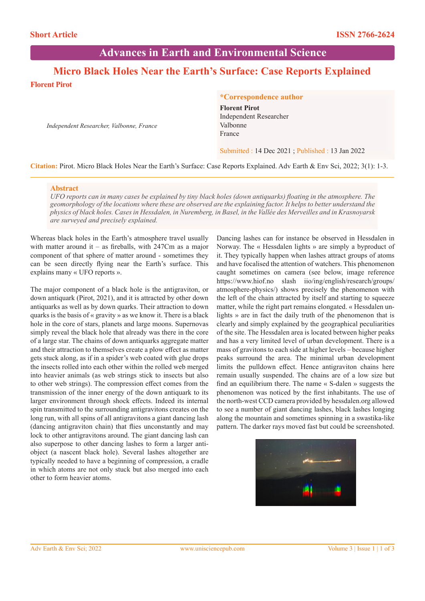**Advances in Earth and Environmental Science**

# **Micro Black Holes Near the Earth's Surface: Case Reports Explained**

**Florent Pirot**

*Independent Researcher, Valbonne, France*

### **\*Correspondence author**

**Florent Pirot** Independent Researcher Valbonne France

### Submitted : 14 Dec 2021 ; Published : 13 Jan 2022

**Citation:** Pirot. Micro Black Holes Near the Earth's Surface: Case Reports Explained. Adv Earth & Env Sci, 2022; 3(1): 1-3.

### **Abstract**

*UFO reports can in many cases be explained by tiny black holes (down antiquarks) floating in the atmosphere. The geomorphology of the locations where these are observed are the explaining factor. It helps to better understand the physics of black holes. Cases in Hessdalen, in Nuremberg, in Basel, in the Vallée des Merveilles and in Krasnoyarsk are surveyed and precisely explained.*

Whereas black holes in the Earth's atmosphere travel usually with matter around it – as fireballs, with  $247Cm$  as a major component of that sphere of matter around - sometimes they can be seen directly flying near the Earth's surface. This explains many « UFO reports ».

The major component of a black hole is the antigraviton, or down antiquark (Pirot, 2021), and it is attracted by other down antiquarks as well as by down quarks. Their attraction to down quarks is the basis of « gravity » as we know it. There is a black hole in the core of stars, planets and large moons. Supernovas simply reveal the black hole that already was there in the core of a large star. The chains of down antiquarks aggregate matter and their attraction to themselves create a plow effect as matter gets stuck along, as if in a spider's web coated with glue drops the insects rolled into each other within the rolled web merged into heavier animals (as web strings stick to insects but also to other web strings). The compression effect comes from the transmission of the inner energy of the down antiquark to its larger environment through shock effects. Indeed its internal spin transmitted to the surrounding antigravitons creates on the long run, with all spins of all antigravitons a giant dancing lash (dancing antigraviton chain) that flies unconstantly and may lock to other antigravitons around. The giant dancing lash can also superpose to other dancing lashes to form a larger antiobject (a nascent black hole). Several lashes altogether are typically needed to have a beginning of compression, a cradle in which atoms are not only stuck but also merged into each other to form heavier atoms.

Dancing lashes can for instance be observed in Hessdalen in Norway. The « Hessdalen lights » are simply a byproduct of it. They typically happen when lashes attract groups of atoms and have focalised the attention of watchers. This phenomenon caught sometimes on camera (see below, image reference https://www.hiof.no slash iio/ing/english/research/groups/ atmosphere-physics/) shows precisely the phenomenon with the left of the chain attracted by itself and starting to squeeze matter, while the right part remains elongated. « Hessdalen unlights » are in fact the daily truth of the phenomenon that is clearly and simply explained by the geographical peculiarities of the site. The Hessdalen area is located between higher peaks and has a very limited level of urban development. There is a mass of gravitons to each side at higher levels – because higher peaks surround the area. The minimal urban development limits the pulldown effect. Hence antigraviton chains here remain usually suspended. The chains are of a low size but find an equilibrium there. The name « S-dalen » suggests the phenomenon was noticed by the first inhabitants. The use of the north-west CCD camera provided by hessdalen.org allowed to see a number of giant dancing lashes, black lashes longing along the mountain and sometimes spinning in a swastika-like pattern. The darker rays moved fast but could be screenshoted.

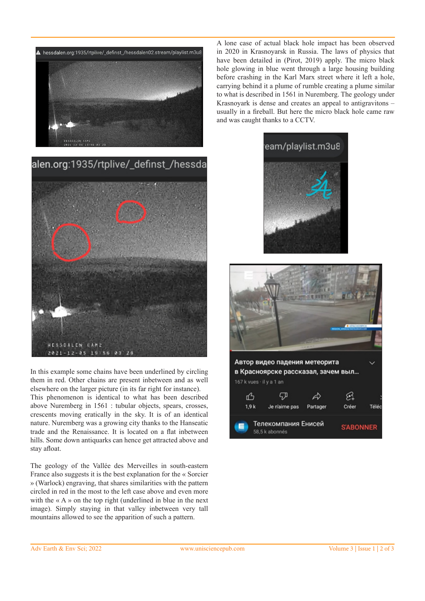

alen.org:1935/rtplive/\_definst\_/hessda



In this example some chains have been underlined by circling them in red. Other chains are present inbetween and as well elsewhere on the larger picture (in its far right for instance). This phenomenon is identical to what has been described above Nuremberg in 1561 : tubular objects, spears, crosses, crescents moving eratically in the sky. It is of an identical nature. Nuremberg was a growing city thanks to the Hanseatic trade and the Renaissance. It is located on a flat inbetween

hills. Some down antiquarks can hence get attracted above and

The geology of the Vallée des Merveilles in south-eastern France also suggests it is the best explanation for the « Sorcier » (Warlock) engraving, that shares similarities with the pattern circled in red in the most to the left case above and even more with the  $\alpha A \rightarrow \alpha$  on the top right (underlined in blue in the next image). Simply staying in that valley inbetween very tall mountains allowed to see the apparition of such a pattern.

A lone case of actual black hole impact has been observed in 2020 in Krasnoyarsk in Russia. The laws of physics that have been detailed in (Pirot, 2019) apply. The micro black hole glowing in blue went through a large housing building before crashing in the Karl Marx street where it left a hole, carrying behind it a plume of rumble creating a plume similar to what is described in 1561 in Nuremberg. The geology under Krasnoyark is dense and creates an appeal to antigravitons – usually in a fireball. But here the micro black hole came raw and was caught thanks to a CCTV.





Автор видео падения метеорита в Красноярске рассказал, зачем выл... 167 k vues · il y a 1 an 'n<sup>2</sup> ናወ  $\mathcal{P}$ ఉ  $1.9k$ Je n'aime pas Partager Créer Téléo Телекомпания Енисей **S'ABONNER** 58,5 k abonnés

stay afloat.